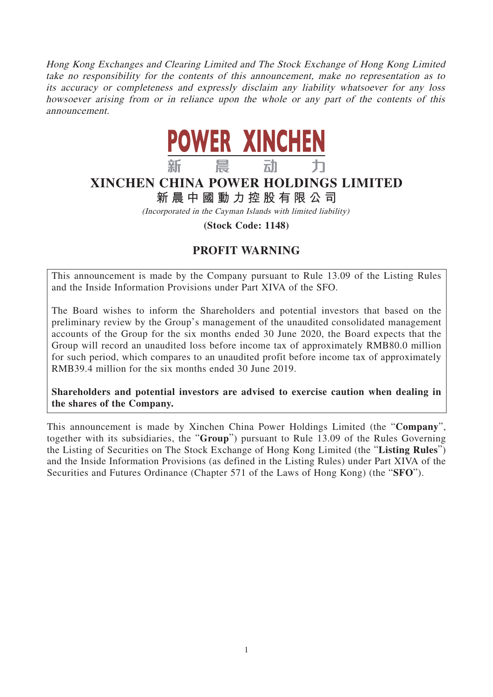Hong Kong Exchanges and Clearing Limited and The Stock Exchange of Hong Kong Limited take no responsibility for the contents of this announcement, make no representation as to its accuracy or completeness and expressly disclaim any liability whatsoever for any loss howsoever arising from or in reliance upon the whole or any part of the contents of this announcement.



## **XINCHEN CHINA POWER HOLDINGS LIMITED**

**新晨中國動力控股有限公司**

(Incorporated in the Cayman Islands with limited liability)

**(Stock Code: 1148)**

## **PROFIT WARNING**

This announcement is made by the Company pursuant to Rule 13.09 of the Listing Rules and the Inside Information Provisions under Part XIVA of the SFO.

The Board wishes to inform the Shareholders and potential investors that based on the preliminary review by the Group's management of the unaudited consolidated management accounts of the Group for the six months ended 30 June 2020, the Board expects that the Group will record an unaudited loss before income tax of approximately RMB80.0 million for such period, which compares to an unaudited profit before income tax of approximately RMB39.4 million for the six months ended 30 June 2019.

**Shareholders and potential investors are advised to exercise caution when dealing in the shares of the Company.**

This announcement is made by Xinchen China Power Holdings Limited (the "**Company**", together with its subsidiaries, the "**Group**") pursuant to Rule 13.09 of the Rules Governing the Listing of Securities on The Stock Exchange of Hong Kong Limited (the "**Listing Rules**") and the Inside Information Provisions (as defined in the Listing Rules) under Part XIVA of the Securities and Futures Ordinance (Chapter 571 of the Laws of Hong Kong) (the "**SFO**").